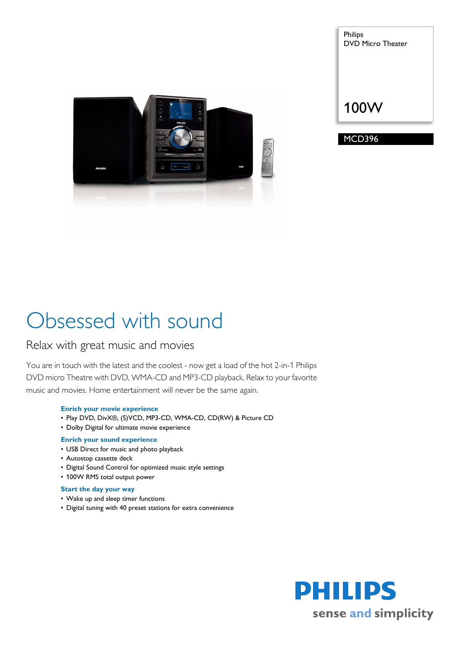

Philips DVD Micro Theater

# 100W

MCD396

# Obsessed with sound

# Relax with great music and movies

You are in touch with the latest and the coolest - now get a load of the hot 2-in-1 Philips DVD micro Theatre with DVD, WMA-CD and MP3-CD playback. Relax to your favorite music and movies. Home entertainment will never be the same again.

# **Enrich your movie experience**

- Play DVD, DivX®, (S)VCD, MP3-CD, WMA-CD, CD(RW) & Picture CD
- Dolby Digital for ultimate movie experience

# **Enrich your sound experience**

- USB Direct for music and photo playback
- Autostop cassette deck
- Digital Sound Control for optimized music style settings
- 100W RMS total output power

# **Start the day your way**

- Wake up and sleep timer functions
- Digital tuning with 40 preset stations for extra convenience

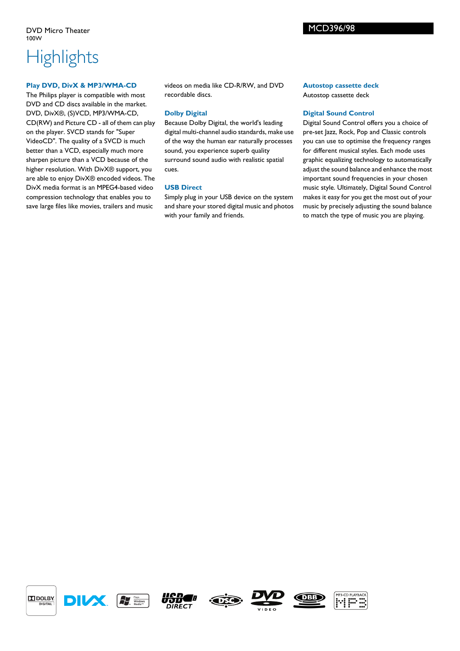# **Highlights**

### **Play DVD, DivX & MP3/WMA-CD**

The Philips player is compatible with most DVD and CD discs available in the market. DVD, DivX®, (S)VCD, MP3/WMA-CD, CD(RW) and Picture CD - all of them can play on the player. SVCD stands for "Super VideoCD". The quality of a SVCD is much better than a VCD, especially much more sharpen picture than a VCD because of the higher resolution. With DivX® support, you are able to enjoy DivX® encoded videos. The DivX media format is an MPEG4-based video compression technology that enables you to save large files like movies, trailers and music

videos on media like CD-R/RW, and DVD recordable discs.

# **Dolby Digital**

Because Dolby Digital, the world's leading digital multi-channel audio standards, make use of the way the human ear naturally processes sound, you experience superb quality surround sound audio with realistic spatial cues.

### **USB Direct**

Simply plug in your USB device on the system and share your stored digital music and photos with your family and friends.

## **Autostop cassette deck** Autostop cassette deck

MCD396/98

## **Digital Sound Control**

Digital Sound Control offers you a choice of pre-set Jazz, Rock, Pop and Classic controls you can use to optimise the frequency ranges for different musical styles. Each mode uses graphic equalizing technology to automatically adjust the sound balance and enhance the most important sound frequencies in your chosen music style. Ultimately, Digital Sound Control makes it easy for you get the most out of your music by precisely adjusting the sound balance to match the type of music you are playing.

 $D$ DOLBY. **DIGITAL**